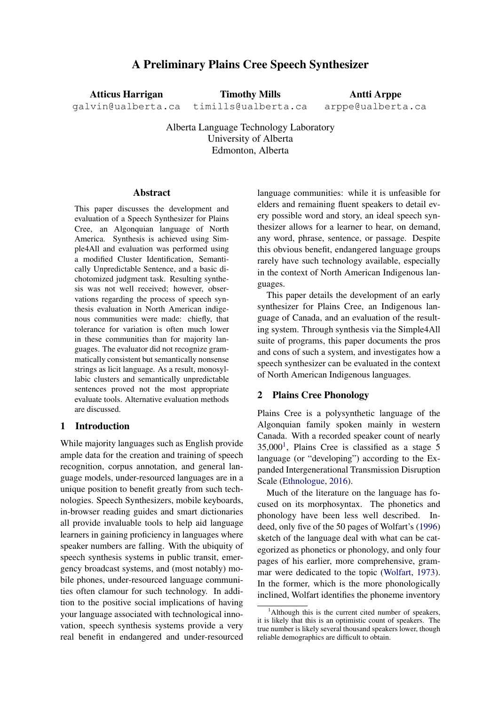# A Preliminary Plains Cree Speech Synthesizer

Atticus Harrigan galvin@ualberta.ca Timothy Mills timills@ualberta.ca

Antti Arppe arppe@ualberta.ca

Alberta Language Technology Laboratory University of Alberta Edmonton, Alberta

#### Abstract

This paper discusses the development and evaluation of a Speech Synthesizer for Plains Cree, an Algonquian language of North America. Synthesis is achieved using Simple4All and evaluation was performed using a modified Cluster Identification, Semantically Unpredictable Sentence, and a basic dichotomized judgment task. Resulting synthesis was not well received; however, observations regarding the process of speech synthesis evaluation in North American indigenous communities were made: chiefly, that tolerance for variation is often much lower in these communities than for majority languages. The evaluator did not recognize grammatically consistent but semantically nonsense strings as licit language. As a result, monosyllabic clusters and semantically unpredictable sentences proved not the most appropriate evaluate tools. Alternative evaluation methods are discussed.

# 1 Introduction

While majority languages such as English provide ample data for the creation and training of speech recognition, corpus annotation, and general language models, under-resourced languages are in a unique position to benefit greatly from such technologies. Speech Synthesizers, mobile keyboards, in-browser reading guides and smart dictionaries all provide invaluable tools to help aid language learners in gaining proficiency in languages where speaker numbers are falling. With the ubiquity of speech synthesis systems in public transit, emergency broadcast systems, and (most notably) mobile phones, under-resourced language communities often clamour for such technology. In addition to the positive social implications of having your language associated with technological innovation, speech synthesis systems provide a very real benefit in endangered and under-resourced

language communities: while it is unfeasible for elders and remaining fluent speakers to detail every possible word and story, an ideal speech synthesizer allows for a learner to hear, on demand, any word, phrase, sentence, or passage. Despite this obvious benefit, endangered language groups rarely have such technology available, especially in the context of North American Indigenous languages.

This paper details the development of an early synthesizer for Plains Cree, an Indigenous language of Canada, and an evaluation of the resulting system. Through synthesis via the Simple4All suite of programs, this paper documents the pros and cons of such a system, and investigates how a speech synthesizer can be evaluated in the context of North American Indigenous languages.

### 2 Plains Cree Phonology

Plains Cree is a polysynthetic language of the Algonquian family spoken mainly in western Canada. With a recorded speaker count of nearly 35,000[1](#page-0-0) , Plains Cree is classified as a stage 5 language (or "developing") according to the Expanded Intergenerational Transmission Disruption Scale [\(Ethnologue,](#page-8-0) [2016\)](#page-8-0).

Much of the literature on the language has focused on its morphosyntax. The phonetics and phonology have been less well described. Indeed, only five of the 50 pages of Wolfart's [\(1996\)](#page-9-0) sketch of the language deal with what can be categorized as phonetics or phonology, and only four pages of his earlier, more comprehensive, grammar were dedicated to the topic [\(Wolfart,](#page-9-1) [1973\)](#page-9-1). In the former, which is the more phonologically inclined, Wolfart identifies the phoneme inventory

<span id="page-0-0"></span><sup>&</sup>lt;sup>1</sup>Although this is the current cited number of speakers, it is likely that this is an optimistic count of speakers. The true number is likely several thousand speakers lower, though reliable demographics are difficult to obtain.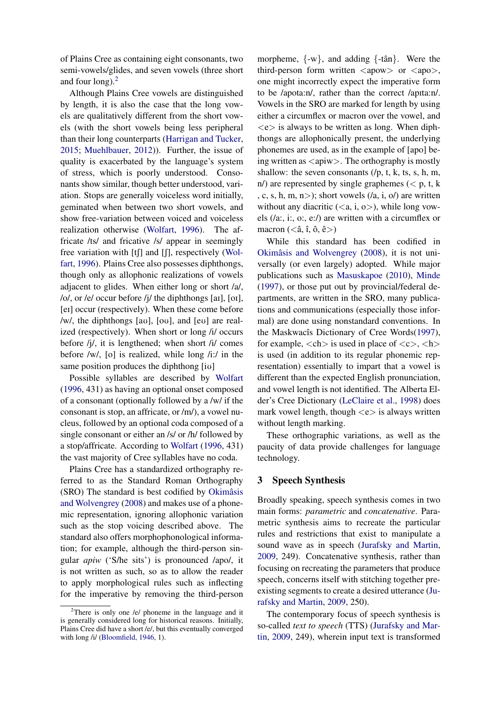of Plains Cree as containing eight consonants, two semi-vowels/glides, and seven vowels (three short and four long). $<sup>2</sup>$  $<sup>2</sup>$  $<sup>2</sup>$ </sup>

Although Plains Cree vowels are distinguished by length, it is also the case that the long vowels are qualitatively different from the short vowels (with the short vowels being less peripheral than their long counterparts [\(Harrigan and Tucker,](#page-8-1) [2015;](#page-8-1) [Muehlbauer,](#page-9-2) [2012\)](#page-9-2)). Further, the issue of quality is exacerbated by the language's system of stress, which is poorly understood. Consonants show similar, though better understood, variation. Stops are generally voiceless word initially, geminated when between two short vowels, and show free-variation between voiced and voiceless realization otherwise [\(Wolfart,](#page-9-0) [1996\)](#page-9-0). The affricate /ts/ and fricative /s/ appear in seemingly free variation with  $[t]$  and  $[$ ], respectively [\(Wol](#page-9-0)[fart,](#page-9-0) [1996\)](#page-9-0). Plains Cree also possesses diphthongs, though only as allophonic realizations of vowels adjacent to glides. When either long or short /a/, /o/, or /e/ occur before /j/ the diphthongs [aI], [oI], [eI] occur (respectively). When these come before /w/, the diphthongs  $[a\sigma]$ ,  $[\sigma\sigma]$ , and  $[e\sigma]$  are realized (respectively). When short or long /i/ occurs before /j/, it is lengthened; when short /i/ comes before /w/, [o] is realized, while long /i:/ in the same position produces the diphthong [iv]

Possible syllables are described by [Wolfart](#page-9-0) [\(1996,](#page-9-0) 431) as having an optional onset composed of a consonant (optionally followed by a /w/ if the consonant is stop, an affricate, or /m/), a vowel nucleus, followed by an optional coda composed of a single consonant or either an /s/ or /h/ followed by a stop/affricate. According to [Wolfart](#page-9-0) [\(1996,](#page-9-0) 431) the vast majority of Cree syllables have no coda.

Plains Cree has a standardized orthography referred to as the Standard Roman Orthography (SRO) The standard is best codified by Okimâsis [and Wolvengrey](#page-9-3) [\(2008\)](#page-9-3) and makes use of a phonemic representation, ignoring allophonic variation such as the stop voicing described above. The standard also offers morphophonological information; for example, although the third-person singular *apiw* ('S/he sits') is pronounced /apo/, it is not written as such, so as to allow the reader to apply morphological rules such as inflecting for the imperative by removing the third-person

morpheme,  $\{-w\}$ , and adding  $\{-\tan\}$ . Were the third-person form written  $\langle$  apow $\rangle$  or  $\langle$  apo $\rangle$ . one might incorrectly expect the imperative form to be /apota:n/, rather than the correct /apita:n/. Vowels in the SRO are marked for length by using either a circumflex or macron over the vowel, and  $\langle e \rangle$  is always to be written as long. When diphthongs are allophonically present, the underlying phonemes are used, as in the example of [apo] being written as  $\langle$ apiw $\rangle$ . The orthography is mostly shallow: the seven consonants  $(p, t, k, ts, s, h, m,$ n/) are represented by single graphemes ( $\lt p$ , t, k , c, s, h, m, n > ); short vowels  $($ /a, i, o $)$  are written without any diacritic  $($ ), while long vowels (/a:, i:, o:, e:/) are written with a circumflex or macron  $( $\hat{a}, \hat{i}, \hat{o}, \hat{e}$  $>)$$ 

While this standard has been codified in Okimâsis and Wolvengrey [\(2008\)](#page-9-3), it is not universally (or even largely) adopted. While major publications such as [Masuskapoe](#page-8-3) [\(2010\)](#page-8-3), [Minde](#page-8-4) [\(1997\)](#page-8-4), or those put out by provincial/federal departments, are written in the SRO, many publications and communications (especially those informal) are done using nonstandard conventions. In the Maskwacîs Dictionary of Cree Words[\(1997\)](#page-8-5), for example,  $\langle$ ch $\rangle$  is used in place of  $\langle$ c $\rangle$ ,  $\langle$ h $\rangle$ is used (in addition to its regular phonemic representation) essentially to impart that a vowel is different than the expected English pronunciation, and vowel length is not identified. The Alberta Elder's Cree Dictionary [\(LeClaire et al.,](#page-8-6) [1998\)](#page-8-6) does mark vowel length, though  $\langle e \rangle$  is always written without length marking.

These orthographic variations, as well as the paucity of data provide challenges for language technology.

### 3 Speech Synthesis

Broadly speaking, speech synthesis comes in two main forms: *parametric* and *concatenative*. Parametric synthesis aims to recreate the particular rules and restrictions that exist to manipulate a sound wave as in speech [\(Jurafsky and Martin,](#page-8-7) [2009,](#page-8-7) 249). Concatenative synthesis, rather than focusing on recreating the parameters that produce speech, concerns itself with stitching together preexisting segments to create a desired utterance [\(Ju](#page-8-7)[rafsky and Martin,](#page-8-7) [2009,](#page-8-7) 250).

The contemporary focus of speech synthesis is so-called *text to speech* (TTS) [\(Jurafsky and Mar](#page-8-7)[tin,](#page-8-7) [2009,](#page-8-7) 249), wherein input text is transformed

<span id="page-1-0"></span><sup>&</sup>lt;sup>2</sup>There is only one /e/ phoneme in the language and it is generally considered long for historical reasons. Initially, Plains Cree did have a short /e/, but this eventually converged with long /i/ [\(Bloomfield,](#page-8-2) [1946,](#page-8-2) 1).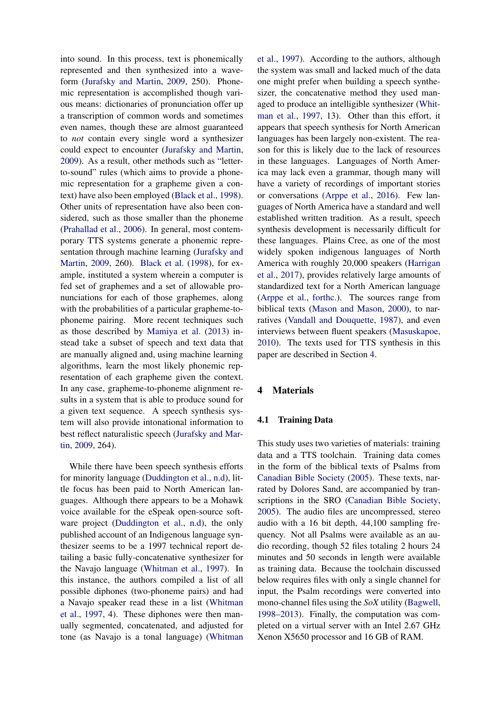into sound. In this process, text is phonemically represented and then synthesized into a waveform [\(Jurafsky and Martin,](#page-8-7) [2009,](#page-8-7) 250). Phonemic representation is accomplished though various means: dictionaries of pronunciation offer up a transcription of common words and sometimes even names, though these are almost guaranteed to *not* contain every single word a synthesizer could expect to encounter [\(Jurafsky and Martin,](#page-8-7) [2009\)](#page-8-7). As a result, other methods such as "letterto-sound" rules (which aims to provide a phonemic representation for a grapheme given a context) have also been employed [\(Black et al.,](#page-8-8) [1998\)](#page-8-8). Other units of representation have also been considered, such as those smaller than the phoneme [\(Prahallad et al.,](#page-9-4) [2006\)](#page-9-4). In general, most contemporary TTS systems generate a phonemic representation through machine learning [\(Jurafsky and](#page-8-7) [Martin,](#page-8-7) [2009,](#page-8-7) 260). [Black et al.](#page-8-8) [\(1998\)](#page-8-8), for example, instituted a system wherein a computer is fed set of graphemes and a set of allowable pronunciations for each of those graphemes, along with the probabilities of a particular grapheme-tophoneme pairing. More recent techniques such as those described by [Mamiya et al.](#page-8-9) [\(2013\)](#page-8-9) instead take a subset of speech and text data that are manually aligned and, using machine learning algorithms, learn the most likely phonemic representation of each grapheme given the context. In any case, grapheme-to-phoneme alignment results in a system that is able to produce sound for a given text sequence. A speech synthesis system will also provide intonational information to best reflect naturalistic speech [\(Jurafsky and Mar](#page-8-7)[tin,](#page-8-7) [2009,](#page-8-7) 264).

While there have been speech synthesis efforts for minority language [\(Duddington et al.,](#page-8-10) [n.d\)](#page-8-10), little focus has been paid to North American languages. Although there appears to be a Mohawk voice available for the eSpeak open-source soft-ware project [\(Duddington et al.,](#page-8-10) [n.d\)](#page-8-10), the only published account of an Indigenous language synthesizer seems to be a 1997 technical report detailing a basic fully-concatenative synthesizer for the Navajo language [\(Whitman et al.,](#page-9-5) [1997\)](#page-9-5). In this instance, the authors compiled a list of all possible diphones (two-phoneme pairs) and had a Navajo speaker read these in a list [\(Whitman](#page-9-5) [et al.,](#page-9-5) [1997,](#page-9-5) 4). These diphones were then manually segmented, concatenated, and adjusted for tone (as Navajo is a tonal language) [\(Whitman](#page-9-5)

[et al.,](#page-9-5) [1997\)](#page-9-5). According to the authors, although the system was small and lacked much of the data one might prefer when building a speech synthesizer, the concatenative method they used managed to produce an intelligible synthesizer [\(Whit](#page-9-5)[man et al.,](#page-9-5) [1997,](#page-9-5) 13). Other than this effort, it appears that speech synthesis for North American languages has been largely non-existent. The reason for this is likely due to the lack of resources in these languages. Languages of North America may lack even a grammar, though many will have a variety of recordings of important stories or conversations [\(Arppe et al.,](#page-8-11) [2016\)](#page-8-11). Few languages of North America have a standard and well established written tradition. As a result, speech synthesis development is necessarily difficult for these languages. Plains Cree, as one of the most widely spoken indigenous languages of North America with roughly 20,000 speakers [\(Harrigan](#page-8-12) [et al.,](#page-8-12) [2017\)](#page-8-12), provides relatively large amounts of standardized text for a North American language [\(Arppe et al.,](#page-8-13) [forthc.\)](#page-8-13). The sources range from biblical texts [\(Mason and Mason,](#page-8-14) [2000\)](#page-8-14), to narratives [\(Vandall and Douquette,](#page-9-6) [1987\)](#page-9-6), and even interviews between fluent speakers [\(Masuskapoe,](#page-8-3) [2010\)](#page-8-3). The texts used for TTS synthesis in this paper are described in Section [4.](#page-2-0)

### <span id="page-2-0"></span>4 Materials

### 4.1 Training Data

This study uses two varieties of materials: training data and a TTS toolchain. Training data comes in the form of the biblical texts of Psalms from [Canadian Bible Society](#page-8-15) [\(2005\)](#page-8-15). These texts, narrated by Dolores Sand, are accompanied by transcriptions in the SRO [\(Canadian Bible Society,](#page-8-15) [2005\)](#page-8-15). The audio files are uncompressed, stereo audio with a 16 bit depth, 44,100 sampling frequency. Not all Psalms were available as an audio recording, though 52 files totaling 2 hours 24 minutes and 50 seconds in length were available as training data. Because the toolchain discussed below requires files with only a single channel for input, the Psalm recordings were converted into mono-channel files using the *SoX* utility [\(Bagwell,](#page-8-16) [1998–2013\)](#page-8-16). Finally, the computation was completed on a virtual server with an Intel 2.67 GHz Xenon X5650 processor and 16 GB of RAM.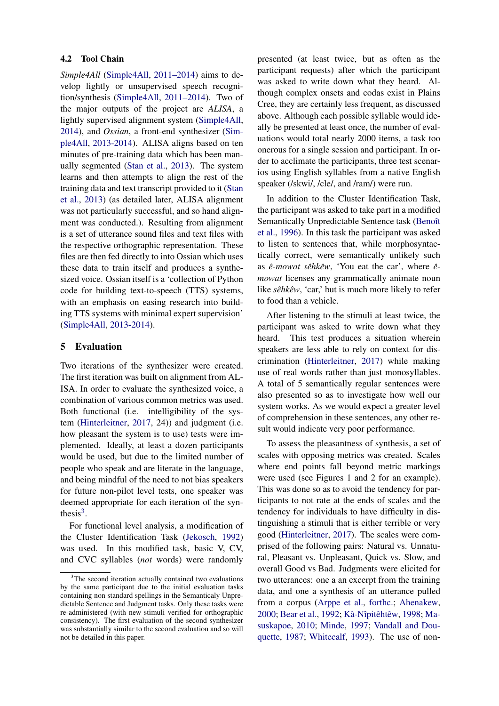### 4.2 Tool Chain

*Simple4All* [\(Simple4All,](#page-9-7) [2011–2014\)](#page-9-7) aims to develop lightly or unsupervised speech recognition/synthesis [\(Simple4All,](#page-9-7) [2011–2014\)](#page-9-7). Two of the major outputs of the project are *ALISA*, a lightly supervised alignment system [\(Simple4All,](#page-9-8) [2014\)](#page-9-8), and *Ossian*, a front-end synthesizer [\(Sim](#page-9-9)[ple4All,](#page-9-9) [2013-2014\)](#page-9-9). ALISA aligns based on ten minutes of pre-training data which has been manually segmented [\(Stan et al.,](#page-9-10) [2013\)](#page-9-10). The system learns and then attempts to align the rest of the training data and text transcript provided to it [\(Stan](#page-9-10) [et al.,](#page-9-10) [2013\)](#page-9-10) (as detailed later, ALISA alignment was not particularly successful, and so hand alignment was conducted.). Resulting from alignment is a set of utterance sound files and text files with the respective orthographic representation. These files are then fed directly to into Ossian which uses these data to train itself and produces a synthesized voice. Ossian itself is a 'collection of Python code for building text-to-speech (TTS) systems, with an emphasis on easing research into building TTS systems with minimal expert supervision' [\(Simple4All,](#page-9-9) [2013-2014\)](#page-9-9).

# 5 Evaluation

Two iterations of the synthesizer were created. The first iteration was built on alignment from AL-ISA. In order to evaluate the synthesized voice, a combination of various common metrics was used. Both functional (i.e. intelligibility of the system [\(Hinterleitner,](#page-8-17) [2017,](#page-8-17) 24)) and judgment (i.e. how pleasant the system is to use) tests were implemented. Ideally, at least a dozen participants would be used, but due to the limited number of people who speak and are literate in the language, and being mindful of the need to not bias speakers for future non-pilot level tests, one speaker was deemed appropriate for each iteration of the synthesis $3$ .

For functional level analysis, a modification of the Cluster Identification Task [\(Jekosch,](#page-8-18) [1992\)](#page-8-18) was used. In this modified task, basic V, CV, and CVC syllables (*not* words) were randomly

presented (at least twice, but as often as the participant requests) after which the participant was asked to write down what they heard. Although complex onsets and codas exist in Plains Cree, they are certainly less frequent, as discussed above. Although each possible syllable would ideally be presented at least once, the number of evaluations would total nearly 2000 items, a task too onerous for a single session and participant. In order to acclimate the participants, three test scenarios using English syllables from a native English speaker (/skwi/, /cle/, and /ram/) were run.

In addition to the Cluster Identification Task, the participant was asked to take part in a modified Semantically Unpredictable Sentence task (Benoît [et al.,](#page-8-19) [1996\)](#page-8-19). In this task the participant was asked to listen to sentences that, while morphosyntactically correct, were semantically unlikely such as  $\hat{e}$ -mowat s $\hat{e}$ hk $\hat{e}$ w, 'You eat the car', where  $\hat{e}$ *mowat* licenses any grammatically animate noun like *sêhkêw*, 'car,' but is much more likely to refer to food than a vehicle.

After listening to the stimuli at least twice, the participant was asked to write down what they heard. This test produces a situation wherein speakers are less able to rely on context for discrimination [\(Hinterleitner,](#page-8-17) [2017\)](#page-8-17) while making use of real words rather than just monosyllables. A total of 5 semantically regular sentences were also presented so as to investigate how well our system works. As we would expect a greater level of comprehension in these sentences, any other result would indicate very poor performance.

To assess the pleasantness of synthesis, a set of scales with opposing metrics was created. Scales where end points fall beyond metric markings were used (see Figures 1 and 2 for an example). This was done so as to avoid the tendency for participants to not rate at the ends of scales and the tendency for individuals to have difficulty in distinguishing a stimuli that is either terrible or very good [\(Hinterleitner,](#page-8-17) [2017\)](#page-8-17). The scales were comprised of the following pairs: Natural vs. Unnatural, Pleasant vs. Unpleasant, Quick vs. Slow, and overall Good vs Bad. Judgments were elicited for two utterances: one a an excerpt from the training data, and one a synthesis of an utterance pulled from a corpus [\(Arppe et al.,](#page-8-13) [forthc.;](#page-8-13) [Ahenakew,](#page-8-20) [2000;](#page-8-20) [Bear et al.,](#page-8-21) [1992;](#page-8-21) Kâ-Nîpitêhtêw, [1998;](#page-8-22) [Ma](#page-8-3)[suskapoe,](#page-8-3) [2010;](#page-8-3) [Minde,](#page-8-4) [1997;](#page-8-4) [Vandall and Dou](#page-9-6)[quette,](#page-9-6) [1987;](#page-9-6) [Whitecalf,](#page-9-11) [1993\)](#page-9-11). The use of non-

<span id="page-3-0"></span><sup>&</sup>lt;sup>3</sup>The second iteration actually contained two evaluations by the same participant due to the initial evaluation tasks containing non standard spellings in the Semanticaly Unpredictable Sentence and Judgment tasks. Only these tasks were re-administered (with new stimuli verified for orthographic consistency). The first evaluation of the second synthesizer was substantially similar to the second evaluation and so will not be detailed in this paper.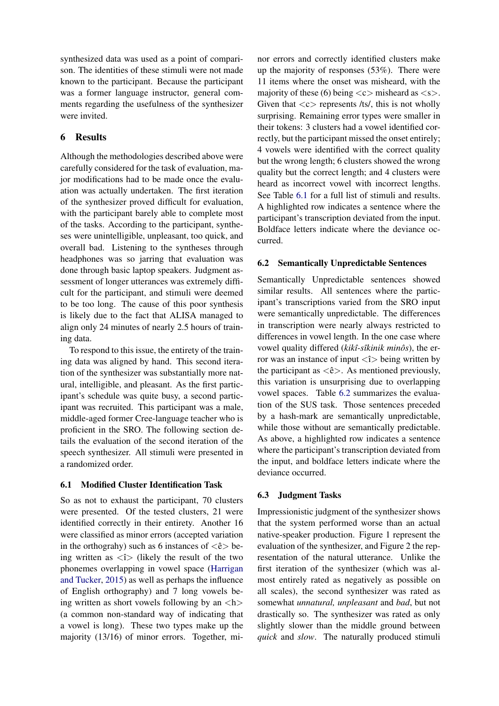synthesized data was used as a point of comparison. The identities of these stimuli were not made known to the participant. Because the participant was a former language instructor, general comments regarding the usefulness of the synthesizer were invited.

# 6 Results

Although the methodologies described above were carefully considered for the task of evaluation, major modifications had to be made once the evaluation was actually undertaken. The first iteration of the synthesizer proved difficult for evaluation, with the participant barely able to complete most of the tasks. According to the participant, syntheses were unintelligible, unpleasant, too quick, and overall bad. Listening to the syntheses through headphones was so jarring that evaluation was done through basic laptop speakers. Judgment assessment of longer utterances was extremely difficult for the participant, and stimuli were deemed to be too long. The cause of this poor synthesis is likely due to the fact that ALISA managed to align only 24 minutes of nearly 2.5 hours of training data.

To respond to this issue, the entirety of the training data was aligned by hand. This second iteration of the synthesizer was substantially more natural, intelligible, and pleasant. As the first participant's schedule was quite busy, a second participant was recruited. This participant was a male, middle-aged former Cree-language teacher who is proficient in the SRO. The following section details the evaluation of the second iteration of the speech synthesizer. All stimuli were presented in a randomized order.

# <span id="page-4-0"></span>6.1 Modified Cluster Identification Task

So as not to exhaust the participant, 70 clusters were presented. Of the tested clusters, 21 were identified correctly in their entirety. Another 16 were classified as minor errors (accepted variation in the orthograhy) such as 6 instances of  $\langle \hat{e} \rangle$  being written as  $\langle \hat{i} \rangle$  (likely the result of the two phonemes overlapping in vowel space [\(Harrigan](#page-8-1) [and Tucker,](#page-8-1) [2015\)](#page-8-1) as well as perhaps the influence of English orthography) and 7 long vowels being written as short vowels following by an  $\langle h \rangle$ (a common non-standard way of indicating that a vowel is long). These two types make up the majority (13/16) of minor errors. Together, mi-

nor errors and correctly identified clusters make up the majority of responses (53%). There were 11 items where the onset was misheard, with the majority of these (6) being  $\langle c \rangle$  misheard as  $\langle s \rangle$ . Given that  $\langle c \rangle$  represents /ts/, this is not wholly surprising. Remaining error types were smaller in their tokens: 3 clusters had a vowel identified correctly, but the participant missed the onset entirely; 4 vowels were identified with the correct quality but the wrong length; 6 clusters showed the wrong quality but the correct length; and 4 clusters were heard as incorrect vowel with incorrect lengths. See Table [6.1](#page-4-0) for a full list of stimuli and results. A highlighted row indicates a sentence where the participant's transcription deviated from the input. Boldface letters indicate where the deviance occurred.

### <span id="page-4-1"></span>6.2 Semantically Unpredictable Sentences

Semantically Unpredictable sentences showed similar results. All sentences where the participant's transcriptions varied from the SRO input were semantically unpredictable. The differences in transcription were nearly always restricted to differences in vowel length. In the one case where vowel quality differed (*kikî-sîkinik minôs*), the error was an instance of input  $\langle \hat{\tau} \rangle$  being written by the participant as  $\langle \hat{e} \rangle$ . As mentioned previously, this variation is unsurprising due to overlapping vowel spaces. Table [6.2](#page-4-1) summarizes the evaluation of the SUS task. Those sentences preceded by a hash-mark are semantically unpredictable, while those without are semantically predictable. As above, a highlighted row indicates a sentence where the participant's transcription deviated from the input, and boldface letters indicate where the deviance occurred.

### 6.3 Judgment Tasks

Impressionistic judgment of the synthesizer shows that the system performed worse than an actual native-speaker production. Figure 1 represent the evaluation of the synthesizer, and Figure 2 the representation of the natural utterance. Unlike the first iteration of the synthesizer (which was almost entirely rated as negatively as possible on all scales), the second synthesizer was rated as somewhat *unnatural, unpleasant* and *bad*, but not drastically so. The synthesizer was rated as only slightly slower than the middle ground between *quick* and *slow*. The naturally produced stimuli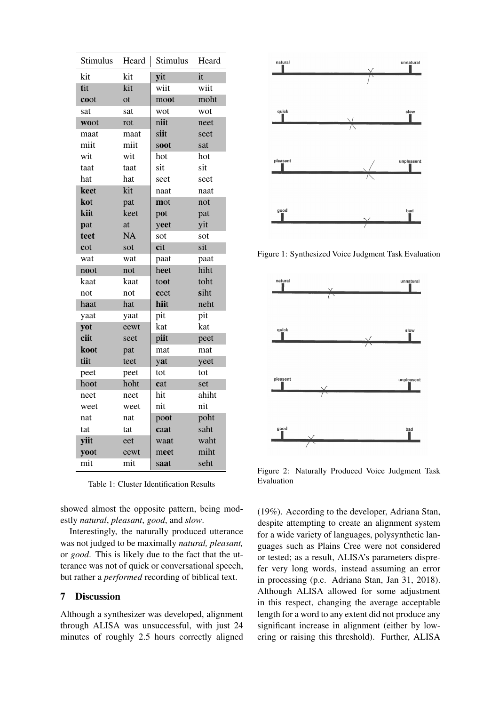| Stimulus | Heard     | Stimulus | Heard |
|----------|-----------|----------|-------|
| kit      | kit       | yit      | it    |
| tit      | kit       | wiit     | wiit  |
| coot     | <b>ot</b> | moot     | moht  |
| sat      | sat       | wot      | wot   |
| woot     | rot       | niit     | neet  |
| maat     | maat      | siit     | seet  |
| miit     | miit      | soot     | sat   |
| wit      | wit       | hot      | hot   |
| taat     | taat      | sit      | sit   |
| hat      | hat       | seet     | seet  |
| keet     | kit       | naat     | naat  |
| kot      | pat       | mot      | not   |
| kiit     | keet      | pot      | pat   |
| pat      | at        | yeet     | yit   |
| teet     | NA        | sot      | sot   |
| cot      | sot       | cit      | sit   |
| wat      | wat       | paat     | paat  |
| noot     | not       | heet     | hiht  |
| kaat     | kaat      | toot     | toht  |
| not      | not       | ceet     | siht  |
| haat     | hat       | hiit     | neht  |
| yaat     | yaat      | pit      | pit   |
| yot      | eewt      | kat      | kat   |
| ciit     | seet      | piit     | peet  |
| koot     | pat       | mat      | mat   |
| tiit     | teet      | yat      | yeet  |
| peet     | peet      | tot      | tot   |
| hoot     | hoht      | cat      | set   |
| neet     | neet      | hit      | ahiht |
| weet     | weet      | nit      | nit   |
| nat      | nat       | poot     | poht  |
| tat      | tat       | caat     | saht  |
| yiit     | eet       | waat     | waht  |
| yoot     | eewt      | meet     | miht  |
| mit      | mit       | saat     | seht  |

Table 1: Cluster Identification Results

showed almost the opposite pattern, being modestly *natural*, *pleasant*, *good*, and *slow*.

Interestingly, the naturally produced utterance was not judged to be maximally *natural, pleasant,* or *good*. This is likely due to the fact that the utterance was not of quick or conversational speech, but rather a *performed* recording of biblical text.

# 7 Discussion

Although a synthesizer was developed, alignment through ALISA was unsuccessful, with just 24 minutes of roughly 2.5 hours correctly aligned



Figure 1: Synthesized Voice Judgment Task Evaluation



Figure 2: Naturally Produced Voice Judgment Task Evaluation

(19%). According to the developer, Adriana Stan, despite attempting to create an alignment system for a wide variety of languages, polysynthetic languages such as Plains Cree were not considered or tested; as a result, ALISA's parameters disprefer very long words, instead assuming an error in processing (p.c. Adriana Stan, Jan 31, 2018). Although ALISA allowed for some adjustment in this respect, changing the average acceptable length for a word to any extent did not produce any significant increase in alignment (either by lowering or raising this threshold). Further, ALISA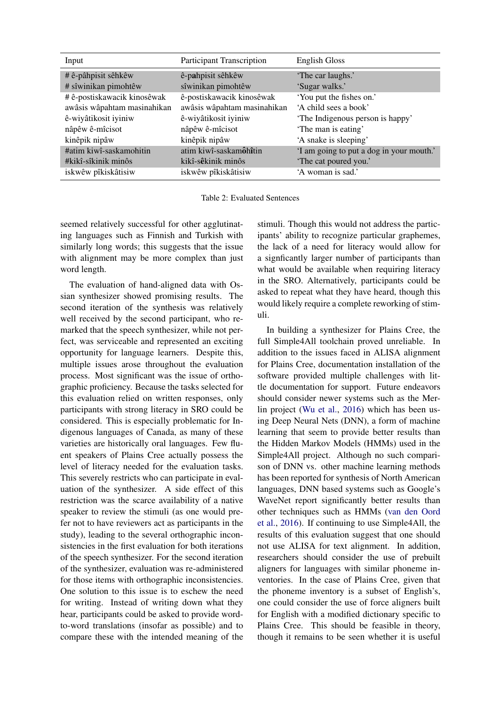| Input                       | <b>Participant Transcription</b> | <b>English Gloss</b>                     |
|-----------------------------|----------------------------------|------------------------------------------|
| # ê-pâhpisit sêhkêw         | ê-pahpisit sêhkêw                | 'The car laughs.'                        |
| # sîwinikan pimohtêw        | sîwinikan pimohtêw               | 'Sugar walks.'                           |
| #ê-postiskawacik kinosêwak  | ê-postiskawacik kinosêwak        | 'You put the fishes on.'                 |
| awâsis wâpahtam masinahikan | awâsis wâpahtam masinahikan      | 'A child sees a book'                    |
| ê-wiyâtikosit iyiniw        | ê-wiyâtikosit iyiniw             | 'The Indigenous person is happy'         |
| nâpêwê-mîcisot              | nâpêwê-mîcisot                   | 'The man is eating'                      |
| kinêpik nipâw               | kinêpik nipâw                    | 'A snake is sleeping'                    |
| #atim kiwî-saskamohitin     | atim kiwî-saskamôhîtin           | 'I am going to put a dog in your mouth.' |
| #kikî-sîkinik minôs         | kikî-sêkinik minôs               | 'The cat poured you.'                    |
| iskwêw pîkiskâtisiw         | iskwêw pîkiskâtisiw              | 'A woman is sad.'                        |

Table 2: Evaluated Sentences

seemed relatively successful for other agglutinating languages such as Finnish and Turkish with similarly long words; this suggests that the issue with alignment may be more complex than just word length.

The evaluation of hand-aligned data with Ossian synthesizer showed promising results. The second iteration of the synthesis was relatively well received by the second participant, who remarked that the speech synthesizer, while not perfect, was serviceable and represented an exciting opportunity for language learners. Despite this, multiple issues arose throughout the evaluation process. Most significant was the issue of orthographic proficiency. Because the tasks selected for this evaluation relied on written responses, only participants with strong literacy in SRO could be considered. This is especially problematic for Indigenous languages of Canada, as many of these varieties are historically oral languages. Few fluent speakers of Plains Cree actually possess the level of literacy needed for the evaluation tasks. This severely restricts who can participate in evaluation of the synthesizer. A side effect of this restriction was the scarce availability of a native speaker to review the stimuli (as one would prefer not to have reviewers act as participants in the study), leading to the several orthographic inconsistencies in the first evaluation for both iterations of the speech synthesizer. For the second iteration of the synthesizer, evaluation was re-administered for those items with orthographic inconsistencies. One solution to this issue is to eschew the need for writing. Instead of writing down what they hear, participants could be asked to provide wordto-word translations (insofar as possible) and to compare these with the intended meaning of the stimuli. Though this would not address the participants' ability to recognize particular graphemes, the lack of a need for literacy would allow for a signficantly larger number of participants than what would be available when requiring literacy in the SRO. Alternatively, participants could be asked to repeat what they have heard, though this would likely require a complete reworking of stimuli.

In building a synthesizer for Plains Cree, the full Simple4All toolchain proved unreliable. In addition to the issues faced in ALISA alignment for Plains Cree, documentation installation of the software provided multiple challenges with little documentation for support. Future endeavors should consider newer systems such as the Merlin project [\(Wu et al.,](#page-9-12) [2016\)](#page-9-12) which has been using Deep Neural Nets (DNN), a form of machine learning that seem to provide better results than the Hidden Markov Models (HMMs) used in the Simple4All project. Although no such comparison of DNN vs. other machine learning methods has been reported for synthesis of North American languages, DNN based systems such as Google's WaveNet report significantly better results than other techniques such as HMMs [\(van den Oord](#page-9-13) [et al.,](#page-9-13) [2016\)](#page-9-13). If continuing to use Simple4All, the results of this evaluation suggest that one should not use ALISA for text alignment. In addition, researchers should consider the use of prebuilt aligners for languages with similar phoneme inventories. In the case of Plains Cree, given that the phoneme inventory is a subset of English's, one could consider the use of force aligners built for English with a modified dictionary specific to Plains Cree. This should be feasible in theory, though it remains to be seen whether it is useful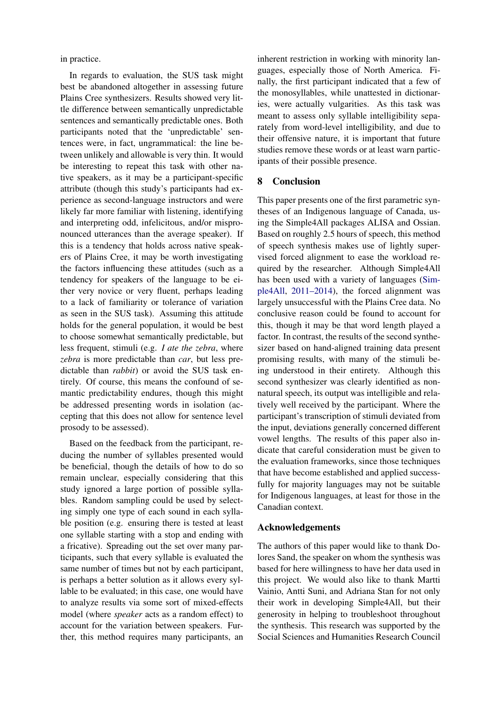in practice.

In regards to evaluation, the SUS task might best be abandoned altogether in assessing future Plains Cree synthesizers. Results showed very little difference between semantically unpredictable sentences and semantically predictable ones. Both participants noted that the 'unpredictable' sentences were, in fact, ungrammatical: the line between unlikely and allowable is very thin. It would be interesting to repeat this task with other native speakers, as it may be a participant-specific attribute (though this study's participants had experience as second-language instructors and were likely far more familiar with listening, identifying and interpreting odd, infelicitous, and/or mispronounced utterances than the average speaker). If this is a tendency that holds across native speakers of Plains Cree, it may be worth investigating the factors influencing these attitudes (such as a tendency for speakers of the language to be either very novice or very fluent, perhaps leading to a lack of familiarity or tolerance of variation as seen in the SUS task). Assuming this attitude holds for the general population, it would be best to choose somewhat semantically predictable, but less frequent, stimuli (e.g. *I ate the zebra*, where *zebra* is more predictable than *car*, but less predictable than *rabbit*) or avoid the SUS task entirely. Of course, this means the confound of semantic predictability endures, though this might be addressed presenting words in isolation (accepting that this does not allow for sentence level prosody to be assessed).

Based on the feedback from the participant, reducing the number of syllables presented would be beneficial, though the details of how to do so remain unclear, especially considering that this study ignored a large portion of possible syllables. Random sampling could be used by selecting simply one type of each sound in each syllable position (e.g. ensuring there is tested at least one syllable starting with a stop and ending with a fricative). Spreading out the set over many participants, such that every syllable is evaluated the same number of times but not by each participant, is perhaps a better solution as it allows every syllable to be evaluated; in this case, one would have to analyze results via some sort of mixed-effects model (where *speaker* acts as a random effect) to account for the variation between speakers. Further, this method requires many participants, an

inherent restriction in working with minority languages, especially those of North America. Finally, the first participant indicated that a few of the monosyllables, while unattested in dictionaries, were actually vulgarities. As this task was meant to assess only syllable intelligibility separately from word-level intelligibility, and due to their offensive nature, it is important that future studies remove these words or at least warn participants of their possible presence.

## 8 Conclusion

This paper presents one of the first parametric syntheses of an Indigenous language of Canada, using the Simple4All packages ALISA and Ossian. Based on roughly 2.5 hours of speech, this method of speech synthesis makes use of lightly supervised forced alignment to ease the workload required by the researcher. Although Simple4All has been used with a variety of languages [\(Sim](#page-9-7)[ple4All,](#page-9-7) [2011–2014\)](#page-9-7), the forced alignment was largely unsuccessful with the Plains Cree data. No conclusive reason could be found to account for this, though it may be that word length played a factor. In contrast, the results of the second synthesizer based on hand-aligned training data present promising results, with many of the stimuli being understood in their entirety. Although this second synthesizer was clearly identified as nonnatural speech, its output was intelligible and relatively well received by the participant. Where the participant's transcription of stimuli deviated from the input, deviations generally concerned different vowel lengths. The results of this paper also indicate that careful consideration must be given to the evaluation frameworks, since those techniques that have become established and applied successfully for majority languages may not be suitable for Indigenous languages, at least for those in the Canadian context.

### Acknowledgements

The authors of this paper would like to thank Dolores Sand, the speaker on whom the synthesis was based for here willingness to have her data used in this project. We would also like to thank Martti Vainio, Antti Suni, and Adriana Stan for not only their work in developing Simple4All, but their generosity in helping to troubleshoot throughout the synthesis. This research was supported by the Social Sciences and Humanities Research Council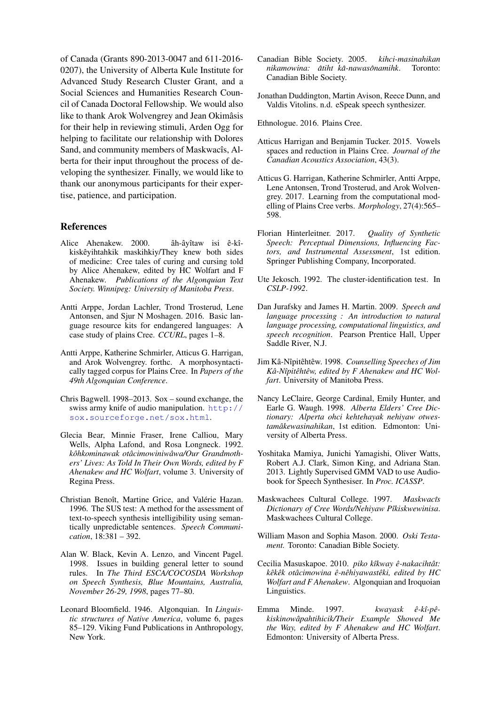of Canada (Grants 890-2013-0047 and 611-2016- 0207), the University of Alberta Kule Institute for Advanced Study Research Cluster Grant, and a Social Sciences and Humanities Research Council of Canada Doctoral Fellowship. We would also like to thank Arok Wolvengrey and Jean Okimâsis for their help in reviewing stimuli, Arden Ogg for helping to facilitate our relationship with Dolores Sand, and community members of Maskwacîs, Alberta for their input throughout the process of developing the synthesizer. Finally, we would like to thank our anonymous participants for their expertise, patience, and participation.

#### References

- <span id="page-8-20"></span>Alice Ahenakew. 2000. ah-ayîtaw isi ê-kîkiskêyihtahkik maskihkiy/They knew both sides of medicine: Cree tales of curing and cursing told by Alice Ahenakew, edited by HC Wolfart and F Ahenakew. *Publications of the Algonquian Text Society. Winnipeg: University of Manitoba Press*.
- <span id="page-8-11"></span>Antti Arppe, Jordan Lachler, Trond Trosterud, Lene Antonsen, and Sjur N Moshagen. 2016. Basic language resource kits for endangered languages: A case study of plains Cree. *CCURL*, pages 1–8.
- <span id="page-8-13"></span>Antti Arppe, Katherine Schmirler, Atticus G. Harrigan, and Arok Wolvengrey. forthc. A morphosyntactically tagged corpus for Plains Cree. In *Papers of the 49th Algonquian Conference*.
- <span id="page-8-16"></span>Chris Bagwell. 1998–2013. Sox – sound exchange, the swiss army knife of audio manipulation. [http://](http://sox.sourceforge.net/sox.html) [sox.sourceforge.net/sox.html](http://sox.sourceforge.net/sox.html).
- <span id="page-8-21"></span>Glecia Bear, Minnie Fraser, Irene Calliou, Mary Wells, Alpha Lafond, and Rosa Longneck. 1992. *kohkominawak ot ˆ acimowiniw ˆ awa/Our Grandmoth- ˆ ers' Lives: As Told In Their Own Words, edited by F Ahenakew and HC Wolfart*, volume 3. University of Regina Press.
- <span id="page-8-19"></span>Christian Benoît, Martine Grice, and Valérie Hazan. 1996. The SUS test: A method for the assessment of text-to-speech synthesis intelligibility using semantically unpredictable sentences. *Speech Communication*, 18:381 – 392.
- <span id="page-8-8"></span>Alan W. Black, Kevin A. Lenzo, and Vincent Pagel. 1998. Issues in building general letter to sound rules. In *The Third ESCA/COCOSDA Workshop on Speech Synthesis, Blue Mountains, Australia, November 26-29, 1998*, pages 77–80.
- <span id="page-8-2"></span>Leonard Bloomfield. 1946. Algonquian. In *Linguistic structures of Native America*, volume 6, pages 85–129. Viking Fund Publications in Anthropology, New York.
- <span id="page-8-15"></span>Canadian Bible Society. 2005. *kihci-masinahikan nikamowina: atiht k ˆ a-nawas ˆ onamihk ˆ* . Toronto: Canadian Bible Society.
- <span id="page-8-10"></span>Jonathan Duddington, Martin Avison, Reece Dunn, and Valdis Vitolins. n.d. eSpeak speech synthesizer.

<span id="page-8-0"></span>Ethnologue. 2016. Plains Cree.

- <span id="page-8-1"></span>Atticus Harrigan and Benjamin Tucker. 2015. Vowels spaces and reduction in Plains Cree. *Journal of the Canadian Acoustics Association*, 43(3).
- <span id="page-8-12"></span>Atticus G. Harrigan, Katherine Schmirler, Antti Arppe, Lene Antonsen, Trond Trosterud, and Arok Wolvengrey. 2017. Learning from the computational modelling of Plains Cree verbs. *Morphology*, 27(4):565– 598.
- <span id="page-8-17"></span>Florian Hinterleitner. 2017. *Quality of Synthetic Speech: Perceptual Dimensions, Influencing Factors, and Instrumental Assessment*, 1st edition. Springer Publishing Company, Incorporated.
- <span id="page-8-18"></span>Ute Jekosch. 1992. The cluster-identification test. In *CSLP-1992*.
- <span id="page-8-7"></span>Dan Jurafsky and James H. Martin. 2009. *Speech and language processing : An introduction to natural language processing, computational linguistics, and speech recognition*. Pearson Prentice Hall, Upper Saddle River, N.J.
- <span id="page-8-22"></span>Jim Kâ-Nîpitêhtêw. 1998. Counselling Speeches of Jim *Ka-Nˆ ˆıpiteht ˆ ew, edited by F Ahenakew and HC Wol- ˆ fart*. University of Manitoba Press.
- <span id="page-8-6"></span>Nancy LeClaire, George Cardinal, Emily Hunter, and Earle G. Waugh. 1998. *Alberta Elders' Cree Dictionary: Alperta ohci kehtehayak nehiyaw otwestamâkewasinahikan*, 1st edition. Edmonton: University of Alberta Press.
- <span id="page-8-9"></span>Yoshitaka Mamiya, Junichi Yamagishi, Oliver Watts, Robert A.J. Clark, Simon King, and Adriana Stan. 2013. Lightly Supervised GMM VAD to use Audiobook for Speech Synthesiser. In *Proc. ICASSP*.
- <span id="page-8-5"></span>Maskwachees Cultural College. 1997. *Maskwacˆıs Dictionary of Cree Words/Nehiyaw Pˆıkiskwewinisa*. Maskwachees Cultural College.
- <span id="page-8-14"></span>William Mason and Sophia Mason. 2000. *Oski Testament.* Toronto: Canadian Bible Society.
- <span id="page-8-3"></span>Cecilia Masuskapoe. 2010. *piko kˆıkway e-nakaciht ˆ at: ˆ kekˆ ek ot ˆ acimowina ˆ e-n ˆ ehiyawast ˆ eki, edited by HC ˆ Wolfart and F Ahenakew*. Algonquian and Iroquoian Linguistics.
- <span id="page-8-4"></span>Emma Minde. 1997. *kwayask ê-kî-pêkiskinowapahtihicik/Their Example Showed Me ˆ the Way, edited by F Ahenakew and HC Wolfart*. Edmonton: University of Alberta Press.